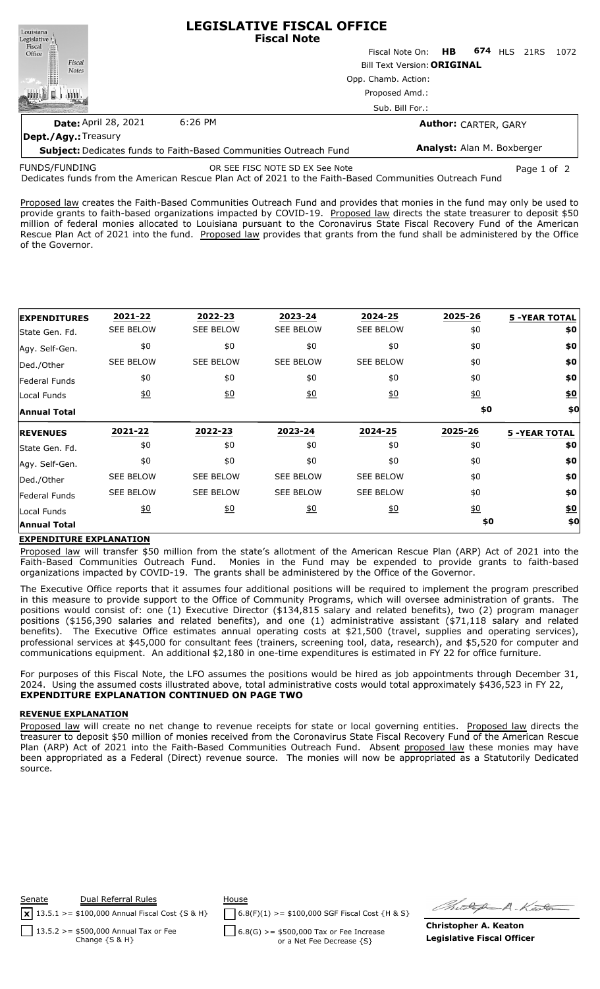

**Subject:** Dedicates funds to Faith-Based Communities Outreach Fund **Analyst:** Alan M. Boxberger FUNDS/FUNDING OR SEE FISC NOTE SD EX See Note Page 1 of 2

Dedicates funds from the American Rescue Plan Act of 2021 to the Faith-Based Communities Outreach Fund

Proposed law creates the Faith-Based Communities Outreach Fund and provides that monies in the fund may only be used to provide grants to faith-based organizations impacted by COVID-19. Proposed law directs the state treasurer to deposit \$50 million of federal monies allocated to Louisiana pursuant to the Coronavirus State Fiscal Recovery Fund of the American Rescue Plan Act of 2021 into the fund. Proposed law provides that grants from the fund shall be administered by the Office of the Governor.

| <b>EXPENDITURES</b>  | 2021-22           | 2022-23          | 2023-24           | 2024-25          | 2025-26          | <b>5 -YEAR TOTAL</b> |
|----------------------|-------------------|------------------|-------------------|------------------|------------------|----------------------|
| State Gen. Fd.       | <b>SEE BELOW</b>  | <b>SEE BELOW</b> | <b>SEE BELOW</b>  | <b>SEE BELOW</b> | \$0              | \$0                  |
| Agy. Self-Gen.       | \$0               | \$0              | \$0               | \$0              | \$0              | \$0                  |
| Ded./Other           | <b>SEE BELOW</b>  | <b>SEE BELOW</b> | <b>SEE BELOW</b>  | <b>SEE BELOW</b> | \$0              | \$0                  |
| <b>Federal Funds</b> | \$0               | \$0              | \$0               | \$0              | \$0              | \$0                  |
| Local Funds          | 60                | 60               | $\underline{\$0}$ | 60               | $\underline{50}$ | $\underline{\$0}$    |
| <b>Annual Total</b>  |                   |                  |                   |                  | \$0              | \$0                  |
|                      |                   |                  |                   |                  |                  |                      |
| <b>REVENUES</b>      | 2021-22           | 2022-23          | 2023-24           | 2024-25          | 2025-26          | <b>5 -YEAR TOTAL</b> |
| State Gen. Fd.       | \$0               | \$0              | \$0               | \$0              | \$0              | \$0                  |
| Agy. Self-Gen.       | \$0               | \$0              | \$0               | \$0              | \$0              | \$0                  |
| Ded./Other           | <b>SEE BELOW</b>  | <b>SEE BELOW</b> | <b>SEE BELOW</b>  | <b>SEE BELOW</b> | \$0              | \$0                  |
| lFederal Funds       | <b>SEE BELOW</b>  | <b>SEE BELOW</b> | <b>SEE BELOW</b>  | <b>SEE BELOW</b> | \$0              | \$0                  |
| Local Funds          | $\underline{\$0}$ | <u>\$0</u>       | 60                | 60               | $\underline{50}$ | <u>\$0</u>           |

## **EXPENDITURE EXPLANATION**

Proposed law will transfer \$50 million from the state's allotment of the American Rescue Plan (ARP) Act of 2021 into the Faith-Based Communities Outreach Fund. Monies in the Fund may be expended to provide grants to faith-based organizations impacted by COVID-19. The grants shall be administered by the Office of the Governor.

The Executive Office reports that it assumes four additional positions will be required to implement the program prescribed in this measure to provide support to the Office of Community Programs, which will oversee administration of grants. The positions would consist of: one (1) Executive Director (\$134,815 salary and related benefits), two (2) program manager positions (\$156,390 salaries and related benefits), and one (1) administrative assistant (\$71,118 salary and related benefits). The Executive Office estimates annual operating costs at \$21,500 (travel, supplies and operating services), professional services at \$45,000 for consultant fees (trainers, screening tool, data, research), and \$5,520 for computer and communications equipment. An additional \$2,180 in one-time expenditures is estimated in FY 22 for office furniture.

For purposes of this Fiscal Note, the LFO assumes the positions would be hired as job appointments through December 31, 2024. Using the assumed costs illustrated above, total administrative costs would total approximately \$436,523 in FY 22, **EXPENDITURE EXPLANATION CONTINUED ON PAGE TWO**

## **REVENUE EXPLANATION**

Proposed law will create no net change to revenue receipts for state or local governing entities. Proposed law directs the treasurer to deposit \$50 million of monies received from the Coronavirus State Fiscal Recovery Fund of the American Rescue Plan (ARP) Act of 2021 into the Faith-Based Communities Outreach Fund. Absent proposed law these monies may have been appropriated as a Federal (Direct) revenue source. The monies will now be appropriated as a Statutorily Dedicated source.